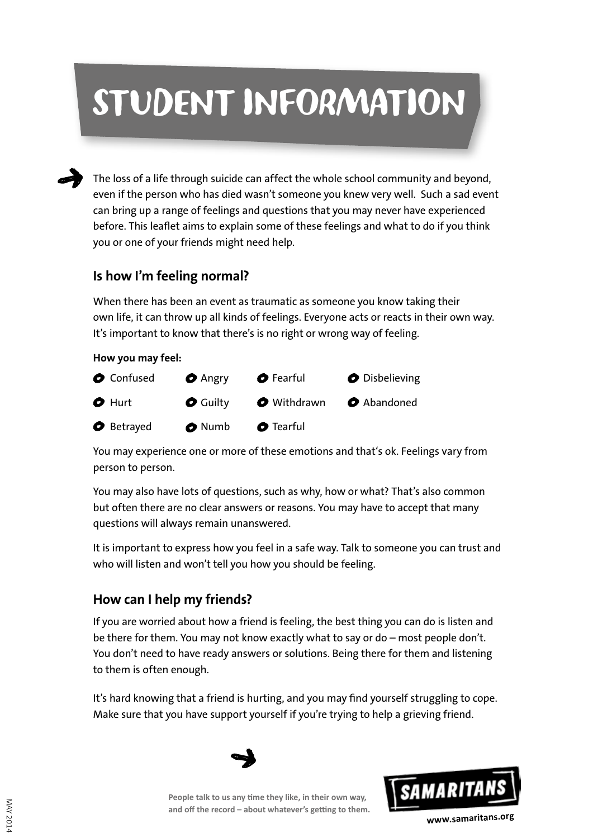# STUDENT INFORMATION

The loss of a life through suicide can affect the whole school community and beyond, even if the person who has died wasn't someone you knew very well. Such a sad event can bring up a range of feelings and questions that you may never have experienced before. This leaflet aims to explain some of these feelings and what to do if you think you or one of your friends might need help.

#### **Is how I'm feeling normal?**

When there has been an event as traumatic as someone you know taking their own life, it can throw up all kinds of feelings. Everyone acts or reacts in their own way. It's important to know that there's is no right or wrong way of feeling.

#### **How you may feel:**



You may experience one or more of these emotions and that's ok. Feelings vary from person to person.

You may also have lots of questions, such as why, how or what? That's also common but often there are no clear answers or reasons. You may have to accept that many questions will always remain unanswered.

It is important to express how you feel in a safe way. Talk to someone you can trust and who will listen and won't tell you how you should be feeling.

#### **How can I help my friends?**

If you are worried about how a friend is feeling, the best thing you can do is listen and be there for them. You may not know exactly what to say or do – most people don't. You don't need to have ready answers or solutions. Being there for them and listening to them is often enough.

It's hard knowing that a friend is hurting, and you may find yourself struggling to cope. Make sure that you have support yourself if you're trying to help a grieving friend.



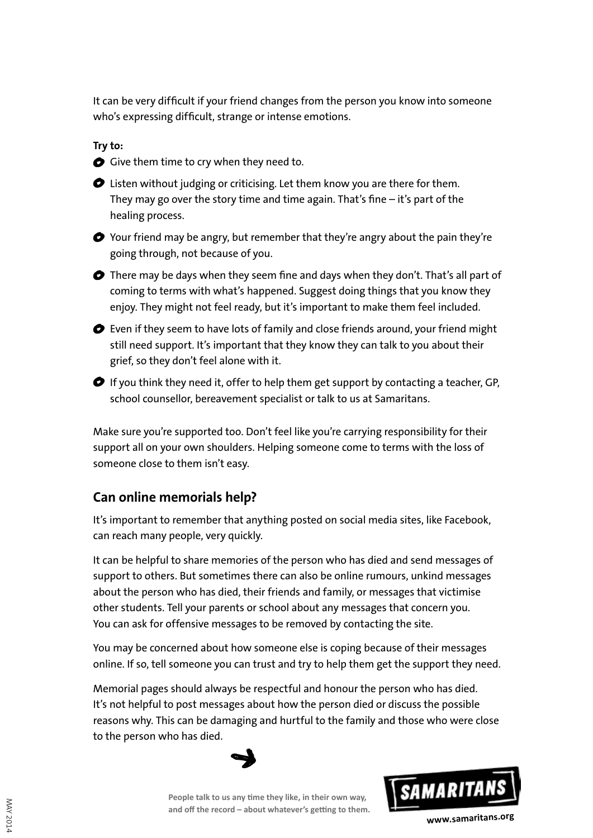It can be very difficult if your friend changes from the person you know into someone who's expressing difficult, strange or intense emotions.

**Try to:**

Give them time to cry when they need to.

Listen without judging or criticising. Let them know you are there for them. They may go over the story time and time again. That's fine – it's part of the healing process.

◆ Your friend may be angry, but remember that they're angry about the pain they're going through, not because of you.

There may be days when they seem fine and days when they don't. That's all part of coming to terms with what's happened. Suggest doing things that you know they enjoy. They might not feel ready, but it's important to make them feel included.

 $\bullet$  Even if they seem to have lots of family and close friends around, your friend might still need support. It's important that they know they can talk to you about their grief, so they don't feel alone with it.

 $\bullet$  If you think they need it, offer to help them get support by contacting a teacher, GP, school counsellor, bereavement specialist or talk to us at Samaritans.

Make sure you're supported too. Don't feel like you're carrying responsibility for their support all on your own shoulders. Helping someone come to terms with the loss of someone close to them isn't easy.

#### **Can online memorials help?**

It's important to remember that anything posted on social media sites, like Facebook, can reach many people, very quickly.

It can be helpful to share memories of the person who has died and send messages of support to others. But sometimes there can also be online rumours, unkind messages about the person who has died, their friends and family, or messages that victimise other students. Tell your parents or school about any messages that concern you. You can ask for offensive messages to be removed by contacting the site.

You may be concerned about how someone else is coping because of their messages online. If so, tell someone you can trust and try to help them get the support they need.

Memorial pages should always be respectful and honour the person who has died. It's not helpful to post messages about how the person died or discuss the possible reasons why. This can be damaging and hurtful to the family and those who were close to the person who has died.



**People talk to us any time they like, in their own way, and off the record – about whatever's getting to them.**



**www.samaritans.org**